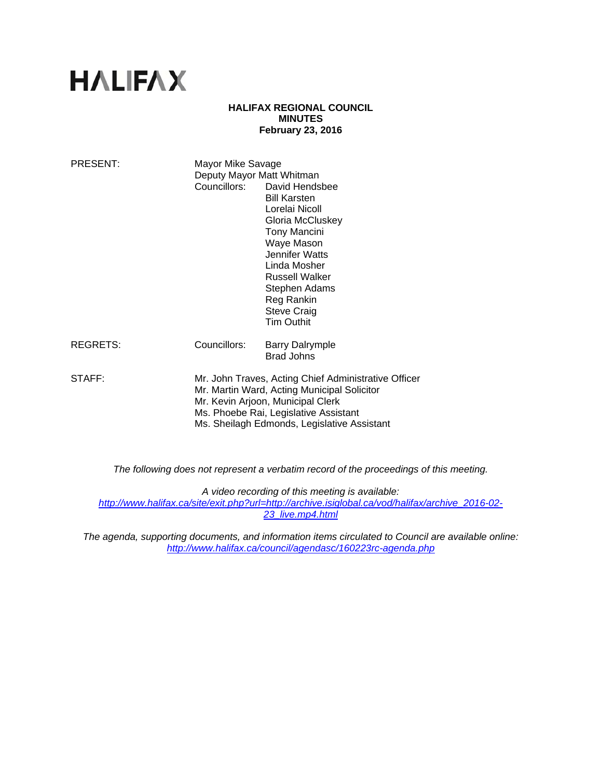# **HALIFAX**

## **HALIFAX REGIONAL COUNCIL MINUTES February 23, 2016**

| PRESENT: | Mayor Mike Savage<br>Deputy Mayor Matt Whitman                                                                                                                                                                                   | Councillors: David Hendsbee<br><b>Bill Karsten</b><br>Lorelai Nicoll<br>Gloria McCluskey<br><b>Tony Mancini</b><br>Waye Mason<br>Jennifer Watts<br>Linda Mosher<br><b>Russell Walker</b><br>Stephen Adams<br>Reg Rankin<br><b>Steve Craig</b><br><b>Tim Outhit</b> |
|----------|----------------------------------------------------------------------------------------------------------------------------------------------------------------------------------------------------------------------------------|--------------------------------------------------------------------------------------------------------------------------------------------------------------------------------------------------------------------------------------------------------------------|
| REGRETS: | Councillors:                                                                                                                                                                                                                     | <b>Barry Dalrymple</b><br><b>Brad Johns</b>                                                                                                                                                                                                                        |
| STAFF:   | Mr. John Traves, Acting Chief Administrative Officer<br>Mr. Martin Ward, Acting Municipal Solicitor<br>Mr. Kevin Arjoon, Municipal Clerk<br>Ms. Phoebe Rai, Legislative Assistant<br>Ms. Sheilagh Edmonds, Legislative Assistant |                                                                                                                                                                                                                                                                    |

*The following does not represent a verbatim record of the proceedings of this meeting.* 

*A video recording of this meeting is available: http://www.halifax.ca/site/exit.php?url=http://archive.isiglobal.ca/vod/halifax/archive\_2016-02- 23\_live.mp4.html*

*The agenda, supporting documents, and information items circulated to Council are available online: http://www.halifax.ca/council/agendasc/160223rc-agenda.php*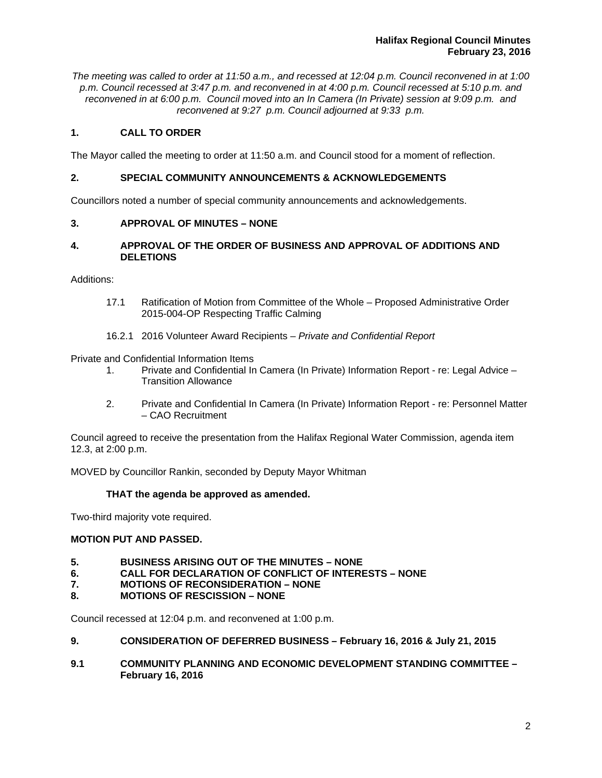*The meeting was called to order at 11:50 a.m., and recessed at 12:04 p.m. Council reconvened in at 1:00 p.m. Council recessed at 3:47 p.m. and reconvened in at 4:00 p.m. Council recessed at 5:10 p.m. and reconvened in at 6:00 p.m. Council moved into an In Camera (In Private) session at 9:09 p.m. and reconvened at 9:27 p.m. Council adjourned at 9:33 p.m.*

# **1. CALL TO ORDER**

The Mayor called the meeting to order at 11:50 a.m. and Council stood for a moment of reflection.

# **2. SPECIAL COMMUNITY ANNOUNCEMENTS & ACKNOWLEDGEMENTS**

Councillors noted a number of special community announcements and acknowledgements.

# **3. APPROVAL OF MINUTES – NONE**

# **4. APPROVAL OF THE ORDER OF BUSINESS AND APPROVAL OF ADDITIONS AND DELETIONS**

Additions:

- 17.1 Ratification of Motion from Committee of the Whole Proposed Administrative Order 2015-004-OP Respecting Traffic Calming
- 16.2.1 2016 Volunteer Award Recipients *Private and Confidential Report*

Private and Confidential Information Items

- 1. Private and Confidential In Camera (In Private) Information Report re: Legal Advice Transition Allowance
- 2. Private and Confidential In Camera (In Private) Information Report re: Personnel Matter – CAO Recruitment

Council agreed to receive the presentation from the Halifax Regional Water Commission, agenda item 12.3, at 2:00 p.m.

MOVED by Councillor Rankin, seconded by Deputy Mayor Whitman

## **THAT the agenda be approved as amended.**

Two-third majority vote required.

## **MOTION PUT AND PASSED.**

- **5. BUSINESS ARISING OUT OF THE MINUTES NONE**
- **6. CALL FOR DECLARATION OF CONFLICT OF INTERESTS NONE**
- **7. MOTIONS OF RECONSIDERATION NONE**
- **8. MOTIONS OF RESCISSION NONE**

Council recessed at 12:04 p.m. and reconvened at 1:00 p.m.

- **9. CONSIDERATION OF DEFERRED BUSINESS February 16, 2016 & July 21, 2015**
- **9.1 COMMUNITY PLANNING AND ECONOMIC DEVELOPMENT STANDING COMMITTEE February 16, 2016**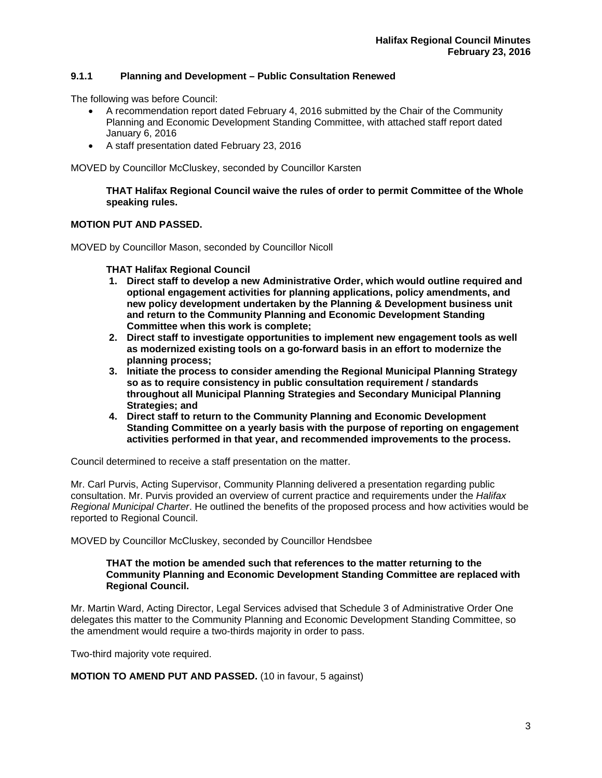# **9.1.1 Planning and Development – Public Consultation Renewed**

The following was before Council:

- A recommendation report dated February 4, 2016 submitted by the Chair of the Community Planning and Economic Development Standing Committee, with attached staff report dated January 6, 2016
- A staff presentation dated February 23, 2016

MOVED by Councillor McCluskey, seconded by Councillor Karsten

**THAT Halifax Regional Council waive the rules of order to permit Committee of the Whole speaking rules.** 

# **MOTION PUT AND PASSED.**

MOVED by Councillor Mason, seconded by Councillor Nicoll

**THAT Halifax Regional Council** 

- **1. Direct staff to develop a new Administrative Order, which would outline required and optional engagement activities for planning applications, policy amendments, and new policy development undertaken by the Planning & Development business unit and return to the Community Planning and Economic Development Standing Committee when this work is complete;**
- **2. Direct staff to investigate opportunities to implement new engagement tools as well as modernized existing tools on a go-forward basis in an effort to modernize the planning process;**
- **3. Initiate the process to consider amending the Regional Municipal Planning Strategy so as to require consistency in public consultation requirement / standards throughout all Municipal Planning Strategies and Secondary Municipal Planning Strategies; and**
- **4. Direct staff to return to the Community Planning and Economic Development Standing Committee on a yearly basis with the purpose of reporting on engagement activities performed in that year, and recommended improvements to the process.**

Council determined to receive a staff presentation on the matter.

Mr. Carl Purvis, Acting Supervisor, Community Planning delivered a presentation regarding public consultation. Mr. Purvis provided an overview of current practice and requirements under the *Halifax Regional Municipal Charter*. He outlined the benefits of the proposed process and how activities would be reported to Regional Council.

MOVED by Councillor McCluskey, seconded by Councillor Hendsbee

## **THAT the motion be amended such that references to the matter returning to the Community Planning and Economic Development Standing Committee are replaced with Regional Council.**

Mr. Martin Ward, Acting Director, Legal Services advised that Schedule 3 of Administrative Order One delegates this matter to the Community Planning and Economic Development Standing Committee, so the amendment would require a two-thirds majority in order to pass.

Two-third majority vote required.

**MOTION TO AMEND PUT AND PASSED.** (10 in favour, 5 against)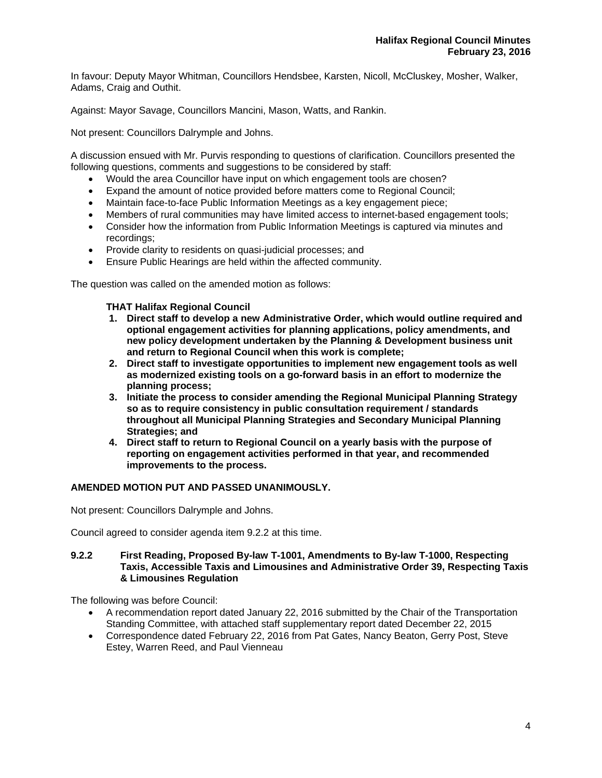In favour: Deputy Mayor Whitman, Councillors Hendsbee, Karsten, Nicoll, McCluskey, Mosher, Walker, Adams, Craig and Outhit.

Against: Mayor Savage, Councillors Mancini, Mason, Watts, and Rankin.

Not present: Councillors Dalrymple and Johns.

A discussion ensued with Mr. Purvis responding to questions of clarification. Councillors presented the following questions, comments and suggestions to be considered by staff:

- Would the area Councillor have input on which engagement tools are chosen?
- Expand the amount of notice provided before matters come to Regional Council;
- Maintain face-to-face Public Information Meetings as a key engagement piece;
- Members of rural communities may have limited access to internet-based engagement tools;
- Consider how the information from Public Information Meetings is captured via minutes and recordings;
- Provide clarity to residents on quasi-judicial processes; and
- Ensure Public Hearings are held within the affected community.

The question was called on the amended motion as follows:

## **THAT Halifax Regional Council**

- **1. Direct staff to develop a new Administrative Order, which would outline required and optional engagement activities for planning applications, policy amendments, and new policy development undertaken by the Planning & Development business unit and return to Regional Council when this work is complete;**
- **2. Direct staff to investigate opportunities to implement new engagement tools as well as modernized existing tools on a go-forward basis in an effort to modernize the planning process;**
- **3. Initiate the process to consider amending the Regional Municipal Planning Strategy so as to require consistency in public consultation requirement / standards throughout all Municipal Planning Strategies and Secondary Municipal Planning Strategies; and**
- **4. Direct staff to return to Regional Council on a yearly basis with the purpose of reporting on engagement activities performed in that year, and recommended improvements to the process.**

## **AMENDED MOTION PUT AND PASSED UNANIMOUSLY.**

Not present: Councillors Dalrymple and Johns.

Council agreed to consider agenda item 9.2.2 at this time.

## **9.2.2 First Reading, Proposed By-law T-1001, Amendments to By-law T-1000, Respecting Taxis, Accessible Taxis and Limousines and Administrative Order 39, Respecting Taxis & Limousines Regulation**

The following was before Council:

- A recommendation report dated January 22, 2016 submitted by the Chair of the Transportation Standing Committee, with attached staff supplementary report dated December 22, 2015
- Correspondence dated February 22, 2016 from Pat Gates, Nancy Beaton, Gerry Post, Steve Estey, Warren Reed, and Paul Vienneau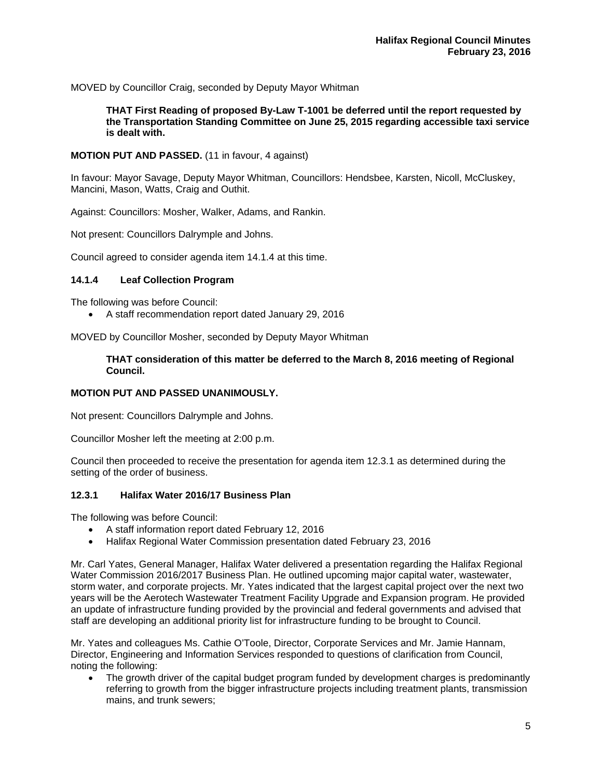MOVED by Councillor Craig, seconded by Deputy Mayor Whitman

**THAT First Reading of proposed By-Law T-1001 be deferred until the report requested by the Transportation Standing Committee on June 25, 2015 regarding accessible taxi service is dealt with.** 

## **MOTION PUT AND PASSED.** (11 in favour, 4 against)

In favour: Mayor Savage, Deputy Mayor Whitman, Councillors: Hendsbee, Karsten, Nicoll, McCluskey, Mancini, Mason, Watts, Craig and Outhit.

Against: Councillors: Mosher, Walker, Adams, and Rankin.

Not present: Councillors Dalrymple and Johns.

Council agreed to consider agenda item 14.1.4 at this time.

# **14.1.4 Leaf Collection Program**

The following was before Council:

A staff recommendation report dated January 29, 2016

MOVED by Councillor Mosher, seconded by Deputy Mayor Whitman

# **THAT consideration of this matter be deferred to the March 8, 2016 meeting of Regional Council.**

## **MOTION PUT AND PASSED UNANIMOUSLY.**

Not present: Councillors Dalrymple and Johns.

Councillor Mosher left the meeting at 2:00 p.m.

Council then proceeded to receive the presentation for agenda item 12.3.1 as determined during the setting of the order of business.

## **12.3.1 Halifax Water 2016/17 Business Plan**

The following was before Council:

- A staff information report dated February 12, 2016
- Halifax Regional Water Commission presentation dated February 23, 2016

Mr. Carl Yates, General Manager, Halifax Water delivered a presentation regarding the Halifax Regional Water Commission 2016/2017 Business Plan. He outlined upcoming major capital water, wastewater, storm water, and corporate projects. Mr. Yates indicated that the largest capital project over the next two years will be the Aerotech Wastewater Treatment Facility Upgrade and Expansion program. He provided an update of infrastructure funding provided by the provincial and federal governments and advised that staff are developing an additional priority list for infrastructure funding to be brought to Council.

Mr. Yates and colleagues Ms. Cathie O'Toole, Director, Corporate Services and Mr. Jamie Hannam, Director, Engineering and Information Services responded to questions of clarification from Council, noting the following:

 The growth driver of the capital budget program funded by development charges is predominantly referring to growth from the bigger infrastructure projects including treatment plants, transmission mains, and trunk sewers;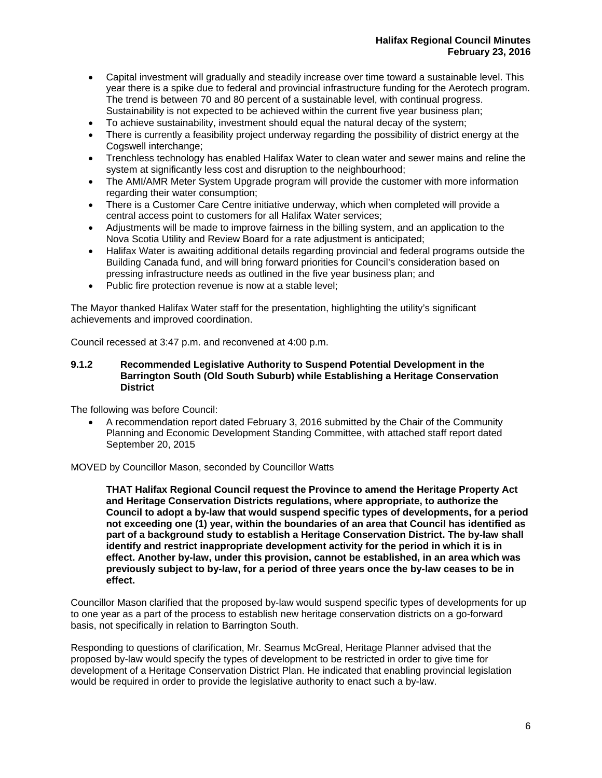- Capital investment will gradually and steadily increase over time toward a sustainable level. This year there is a spike due to federal and provincial infrastructure funding for the Aerotech program. The trend is between 70 and 80 percent of a sustainable level, with continual progress. Sustainability is not expected to be achieved within the current five year business plan;
- To achieve sustainability, investment should equal the natural decay of the system;
- There is currently a feasibility project underway regarding the possibility of district energy at the Cogswell interchange;
- Trenchless technology has enabled Halifax Water to clean water and sewer mains and reline the system at significantly less cost and disruption to the neighbourhood;
- The AMI/AMR Meter System Upgrade program will provide the customer with more information regarding their water consumption;
- There is a Customer Care Centre initiative underway, which when completed will provide a central access point to customers for all Halifax Water services;
- Adjustments will be made to improve fairness in the billing system, and an application to the Nova Scotia Utility and Review Board for a rate adjustment is anticipated;
- Halifax Water is awaiting additional details regarding provincial and federal programs outside the Building Canada fund, and will bring forward priorities for Council's consideration based on pressing infrastructure needs as outlined in the five year business plan; and
- Public fire protection revenue is now at a stable level:

The Mayor thanked Halifax Water staff for the presentation, highlighting the utility's significant achievements and improved coordination.

Council recessed at 3:47 p.m. and reconvened at 4:00 p.m.

## **9.1.2 Recommended Legislative Authority to Suspend Potential Development in the Barrington South (Old South Suburb) while Establishing a Heritage Conservation District**

The following was before Council:

 A recommendation report dated February 3, 2016 submitted by the Chair of the Community Planning and Economic Development Standing Committee, with attached staff report dated September 20, 2015

## MOVED by Councillor Mason, seconded by Councillor Watts

**THAT Halifax Regional Council request the Province to amend the Heritage Property Act and Heritage Conservation Districts regulations, where appropriate, to authorize the Council to adopt a by-law that would suspend specific types of developments, for a period not exceeding one (1) year, within the boundaries of an area that Council has identified as part of a background study to establish a Heritage Conservation District. The by-law shall identify and restrict inappropriate development activity for the period in which it is in effect. Another by-law, under this provision, cannot be established, in an area which was previously subject to by-law, for a period of three years once the by-law ceases to be in effect.** 

Councillor Mason clarified that the proposed by-law would suspend specific types of developments for up to one year as a part of the process to establish new heritage conservation districts on a go-forward basis, not specifically in relation to Barrington South.

Responding to questions of clarification, Mr. Seamus McGreal, Heritage Planner advised that the proposed by-law would specify the types of development to be restricted in order to give time for development of a Heritage Conservation District Plan. He indicated that enabling provincial legislation would be required in order to provide the legislative authority to enact such a by-law.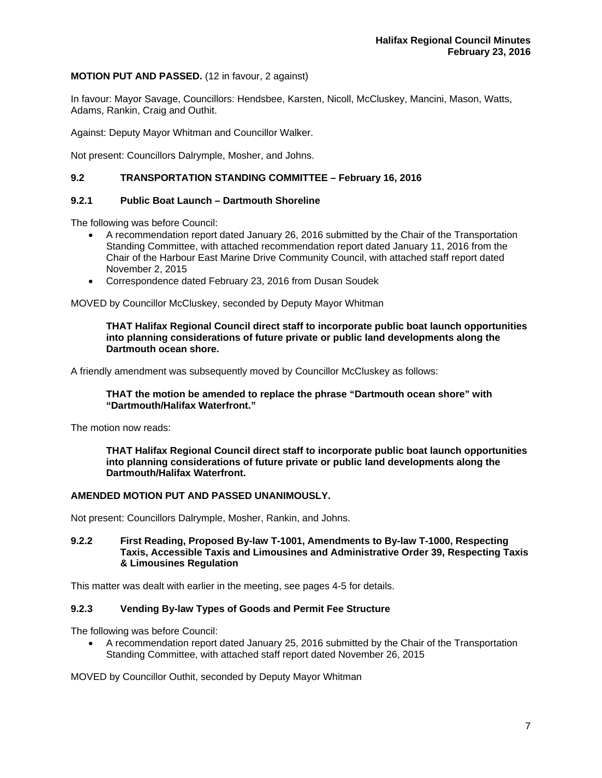# **MOTION PUT AND PASSED.** (12 in favour, 2 against)

In favour: Mayor Savage, Councillors: Hendsbee, Karsten, Nicoll, McCluskey, Mancini, Mason, Watts, Adams, Rankin, Craig and Outhit.

Against: Deputy Mayor Whitman and Councillor Walker.

Not present: Councillors Dalrymple, Mosher, and Johns.

# **9.2 TRANSPORTATION STANDING COMMITTEE – February 16, 2016**

## **9.2.1 Public Boat Launch – Dartmouth Shoreline**

The following was before Council:

- A recommendation report dated January 26, 2016 submitted by the Chair of the Transportation Standing Committee, with attached recommendation report dated January 11, 2016 from the Chair of the Harbour East Marine Drive Community Council, with attached staff report dated November 2, 2015
- Correspondence dated February 23, 2016 from Dusan Soudek

MOVED by Councillor McCluskey, seconded by Deputy Mayor Whitman

## **THAT Halifax Regional Council direct staff to incorporate public boat launch opportunities into planning considerations of future private or public land developments along the Dartmouth ocean shore.**

A friendly amendment was subsequently moved by Councillor McCluskey as follows:

## **THAT the motion be amended to replace the phrase "Dartmouth ocean shore" with "Dartmouth/Halifax Waterfront."**

The motion now reads:

**THAT Halifax Regional Council direct staff to incorporate public boat launch opportunities into planning considerations of future private or public land developments along the Dartmouth/Halifax Waterfront.** 

## **AMENDED MOTION PUT AND PASSED UNANIMOUSLY.**

Not present: Councillors Dalrymple, Mosher, Rankin, and Johns.

## **9.2.2 First Reading, Proposed By-law T-1001, Amendments to By-law T-1000, Respecting Taxis, Accessible Taxis and Limousines and Administrative Order 39, Respecting Taxis & Limousines Regulation**

This matter was dealt with earlier in the meeting, see pages 4-5 for details.

## **9.2.3 Vending By-law Types of Goods and Permit Fee Structure**

The following was before Council:

 A recommendation report dated January 25, 2016 submitted by the Chair of the Transportation Standing Committee, with attached staff report dated November 26, 2015

MOVED by Councillor Outhit, seconded by Deputy Mayor Whitman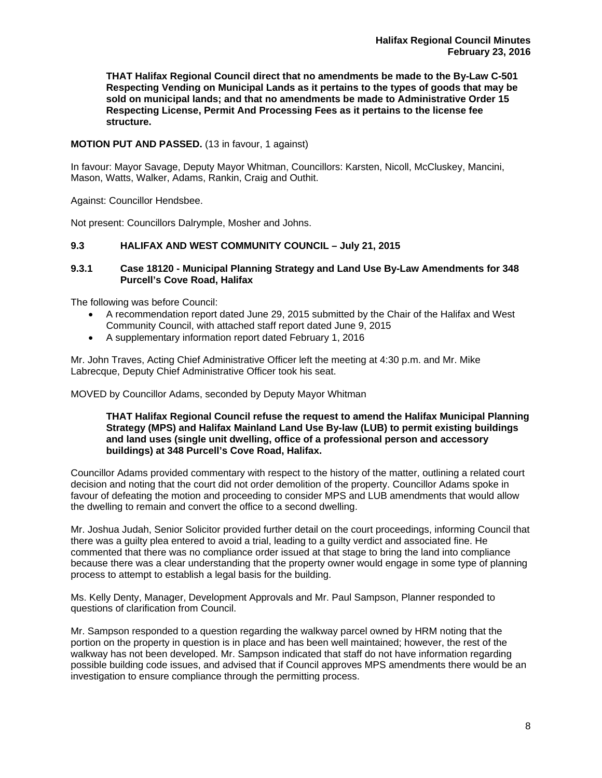**THAT Halifax Regional Council direct that no amendments be made to the By-Law C-501 Respecting Vending on Municipal Lands as it pertains to the types of goods that may be sold on municipal lands; and that no amendments be made to Administrative Order 15 Respecting License, Permit And Processing Fees as it pertains to the license fee structure.**

# **MOTION PUT AND PASSED.** (13 in favour, 1 against)

In favour: Mayor Savage, Deputy Mayor Whitman, Councillors: Karsten, Nicoll, McCluskey, Mancini, Mason, Watts, Walker, Adams, Rankin, Craig and Outhit.

Against: Councillor Hendsbee.

Not present: Councillors Dalrymple, Mosher and Johns.

## **9.3 HALIFAX AND WEST COMMUNITY COUNCIL – July 21, 2015**

## **9.3.1 Case 18120 - Municipal Planning Strategy and Land Use By-Law Amendments for 348 Purcell's Cove Road, Halifax**

The following was before Council:

- A recommendation report dated June 29, 2015 submitted by the Chair of the Halifax and West Community Council, with attached staff report dated June 9, 2015
- A supplementary information report dated February 1, 2016

Mr. John Traves, Acting Chief Administrative Officer left the meeting at 4:30 p.m. and Mr. Mike Labrecque, Deputy Chief Administrative Officer took his seat.

MOVED by Councillor Adams, seconded by Deputy Mayor Whitman

## **THAT Halifax Regional Council refuse the request to amend the Halifax Municipal Planning Strategy (MPS) and Halifax Mainland Land Use By-law (LUB) to permit existing buildings and land uses (single unit dwelling, office of a professional person and accessory buildings) at 348 Purcell's Cove Road, Halifax.**

Councillor Adams provided commentary with respect to the history of the matter, outlining a related court decision and noting that the court did not order demolition of the property. Councillor Adams spoke in favour of defeating the motion and proceeding to consider MPS and LUB amendments that would allow the dwelling to remain and convert the office to a second dwelling.

Mr. Joshua Judah, Senior Solicitor provided further detail on the court proceedings, informing Council that there was a guilty plea entered to avoid a trial, leading to a guilty verdict and associated fine. He commented that there was no compliance order issued at that stage to bring the land into compliance because there was a clear understanding that the property owner would engage in some type of planning process to attempt to establish a legal basis for the building.

Ms. Kelly Denty, Manager, Development Approvals and Mr. Paul Sampson, Planner responded to questions of clarification from Council.

Mr. Sampson responded to a question regarding the walkway parcel owned by HRM noting that the portion on the property in question is in place and has been well maintained; however, the rest of the walkway has not been developed. Mr. Sampson indicated that staff do not have information regarding possible building code issues, and advised that if Council approves MPS amendments there would be an investigation to ensure compliance through the permitting process.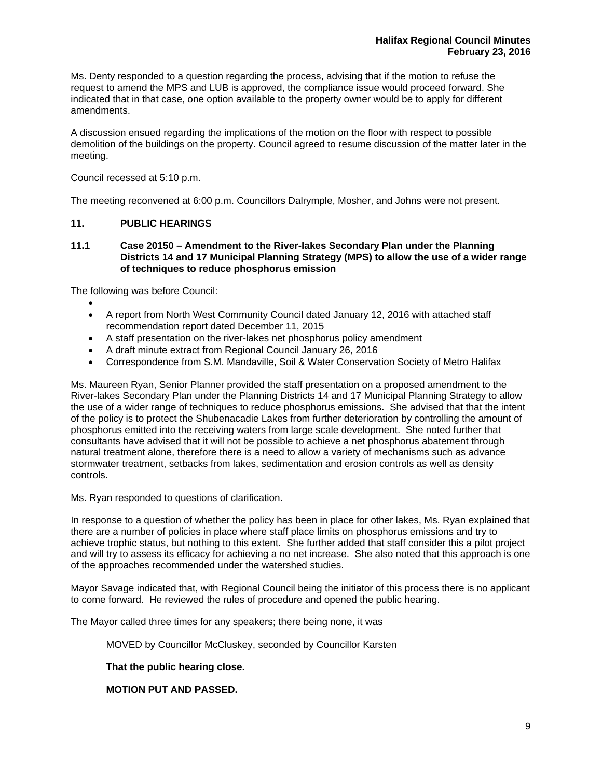Ms. Denty responded to a question regarding the process, advising that if the motion to refuse the request to amend the MPS and LUB is approved, the compliance issue would proceed forward. She indicated that in that case, one option available to the property owner would be to apply for different amendments.

A discussion ensued regarding the implications of the motion on the floor with respect to possible demolition of the buildings on the property. Council agreed to resume discussion of the matter later in the meeting.

Council recessed at 5:10 p.m.

The meeting reconvened at 6:00 p.m. Councillors Dalrymple, Mosher, and Johns were not present.

# **11. PUBLIC HEARINGS**

**11.1 Case 20150 – Amendment to the River-lakes Secondary Plan under the Planning Districts 14 and 17 Municipal Planning Strategy (MPS) to allow the use of a wider range of techniques to reduce phosphorus emission** 

The following was before Council:

- $\bullet$  A report from North West Community Council dated January 12, 2016 with attached staff recommendation report dated December 11, 2015
- A staff presentation on the river-lakes net phosphorus policy amendment
- A draft minute extract from Regional Council January 26, 2016
- Correspondence from S.M. Mandaville, Soil & Water Conservation Society of Metro Halifax

Ms. Maureen Ryan, Senior Planner provided the staff presentation on a proposed amendment to the River-lakes Secondary Plan under the Planning Districts 14 and 17 Municipal Planning Strategy to allow the use of a wider range of techniques to reduce phosphorus emissions. She advised that that the intent of the policy is to protect the Shubenacadie Lakes from further deterioration by controlling the amount of phosphorus emitted into the receiving waters from large scale development. She noted further that consultants have advised that it will not be possible to achieve a net phosphorus abatement through natural treatment alone, therefore there is a need to allow a variety of mechanisms such as advance stormwater treatment, setbacks from lakes, sedimentation and erosion controls as well as density controls.

Ms. Ryan responded to questions of clarification.

In response to a question of whether the policy has been in place for other lakes, Ms. Ryan explained that there are a number of policies in place where staff place limits on phosphorus emissions and try to achieve trophic status, but nothing to this extent. She further added that staff consider this a pilot project and will try to assess its efficacy for achieving a no net increase. She also noted that this approach is one of the approaches recommended under the watershed studies.

Mayor Savage indicated that, with Regional Council being the initiator of this process there is no applicant to come forward. He reviewed the rules of procedure and opened the public hearing.

The Mayor called three times for any speakers; there being none, it was

MOVED by Councillor McCluskey, seconded by Councillor Karsten

**That the public hearing close.** 

 **MOTION PUT AND PASSED.**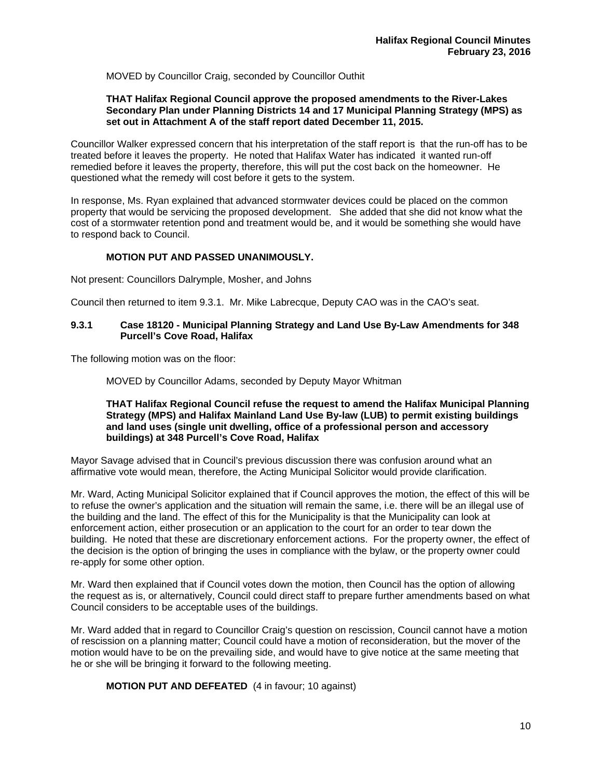MOVED by Councillor Craig, seconded by Councillor Outhit

# **THAT Halifax Regional Council approve the proposed amendments to the River-Lakes Secondary Plan under Planning Districts 14 and 17 Municipal Planning Strategy (MPS) as set out in Attachment A of the staff report dated December 11, 2015.**

Councillor Walker expressed concern that his interpretation of the staff report is that the run-off has to be treated before it leaves the property. He noted that Halifax Water has indicated it wanted run-off remedied before it leaves the property, therefore, this will put the cost back on the homeowner. He questioned what the remedy will cost before it gets to the system.

In response, Ms. Ryan explained that advanced stormwater devices could be placed on the common property that would be servicing the proposed development. She added that she did not know what the cost of a stormwater retention pond and treatment would be, and it would be something she would have to respond back to Council.

# **MOTION PUT AND PASSED UNANIMOUSLY.**

Not present: Councillors Dalrymple, Mosher, and Johns

Council then returned to item 9.3.1. Mr. Mike Labrecque, Deputy CAO was in the CAO's seat.

## **9.3.1 Case 18120 - Municipal Planning Strategy and Land Use By-Law Amendments for 348 Purcell's Cove Road, Halifax**

The following motion was on the floor:

MOVED by Councillor Adams, seconded by Deputy Mayor Whitman

## **THAT Halifax Regional Council refuse the request to amend the Halifax Municipal Planning Strategy (MPS) and Halifax Mainland Land Use By-law (LUB) to permit existing buildings and land uses (single unit dwelling, office of a professional person and accessory buildings) at 348 Purcell's Cove Road, Halifax**

Mayor Savage advised that in Council's previous discussion there was confusion around what an affirmative vote would mean, therefore, the Acting Municipal Solicitor would provide clarification.

Mr. Ward, Acting Municipal Solicitor explained that if Council approves the motion, the effect of this will be to refuse the owner's application and the situation will remain the same, i.e. there will be an illegal use of the building and the land. The effect of this for the Municipality is that the Municipality can look at enforcement action, either prosecution or an application to the court for an order to tear down the building. He noted that these are discretionary enforcement actions. For the property owner, the effect of the decision is the option of bringing the uses in compliance with the bylaw, or the property owner could re-apply for some other option.

Mr. Ward then explained that if Council votes down the motion, then Council has the option of allowing the request as is, or alternatively, Council could direct staff to prepare further amendments based on what Council considers to be acceptable uses of the buildings.

Mr. Ward added that in regard to Councillor Craig's question on rescission, Council cannot have a motion of rescission on a planning matter; Council could have a motion of reconsideration, but the mover of the motion would have to be on the prevailing side, and would have to give notice at the same meeting that he or she will be bringing it forward to the following meeting.

 **MOTION PUT AND DEFEATED** (4 in favour; 10 against)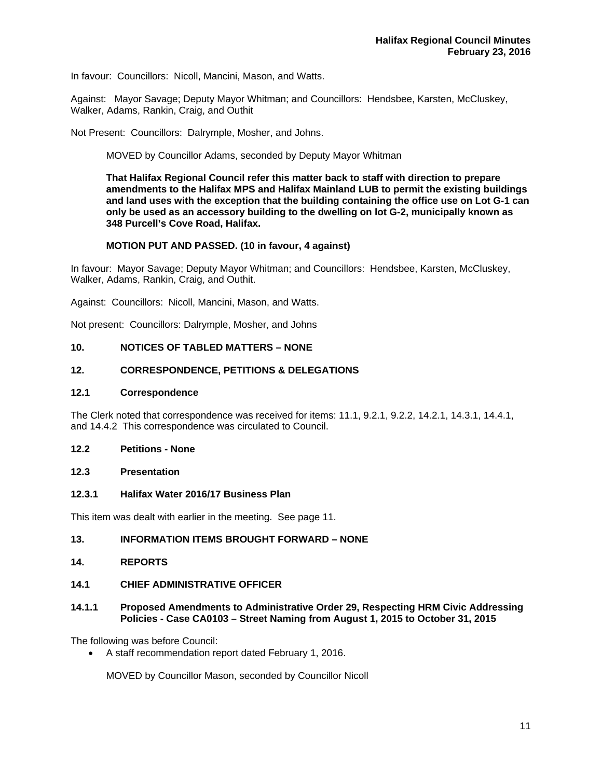In favour: Councillors: Nicoll, Mancini, Mason, and Watts.

Against: Mayor Savage; Deputy Mayor Whitman; and Councillors: Hendsbee, Karsten, McCluskey, Walker, Adams, Rankin, Craig, and Outhit

Not Present: Councillors: Dalrymple, Mosher, and Johns.

MOVED by Councillor Adams, seconded by Deputy Mayor Whitman

**That Halifax Regional Council refer this matter back to staff with direction to prepare amendments to the Halifax MPS and Halifax Mainland LUB to permit the existing buildings and land uses with the exception that the building containing the office use on Lot G-1 can only be used as an accessory building to the dwelling on lot G-2, municipally known as 348 Purcell's Cove Road, Halifax.** 

## **MOTION PUT AND PASSED. (10 in favour, 4 against)**

In favour: Mayor Savage; Deputy Mayor Whitman; and Councillors: Hendsbee, Karsten, McCluskey, Walker, Adams, Rankin, Craig, and Outhit.

Against: Councillors: Nicoll, Mancini, Mason, and Watts.

Not present: Councillors: Dalrymple, Mosher, and Johns

## **10. NOTICES OF TABLED MATTERS – NONE**

## **12. CORRESPONDENCE, PETITIONS & DELEGATIONS**

#### **12.1 Correspondence**

The Clerk noted that correspondence was received for items: 11.1, 9.2.1, 9.2.2, 14.2.1, 14.3.1, 14.4.1, and 14.4.2 This correspondence was circulated to Council.

## **12.2 Petitions - None**

## **12.3 Presentation**

## **12.3.1 Halifax Water 2016/17 Business Plan**

This item was dealt with earlier in the meeting. See page 11.

## **13. INFORMATION ITEMS BROUGHT FORWARD – NONE**

#### **14. REPORTS**

## **14.1 CHIEF ADMINISTRATIVE OFFICER**

## **14.1.1 Proposed Amendments to Administrative Order 29, Respecting HRM Civic Addressing Policies - Case CA0103 – Street Naming from August 1, 2015 to October 31, 2015**

The following was before Council:

A staff recommendation report dated February 1, 2016.

MOVED by Councillor Mason, seconded by Councillor Nicoll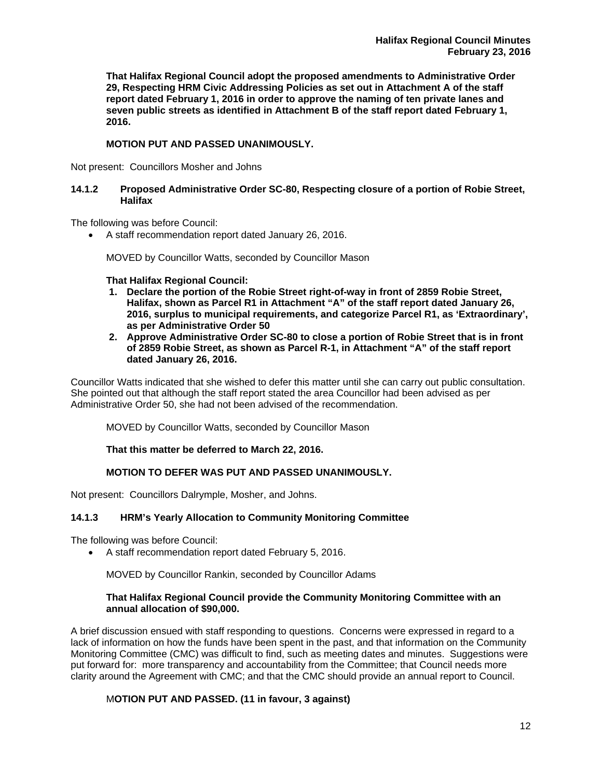**That Halifax Regional Council adopt the proposed amendments to Administrative Order 29, Respecting HRM Civic Addressing Policies as set out in Attachment A of the staff report dated February 1, 2016 in order to approve the naming of ten private lanes and seven public streets as identified in Attachment B of the staff report dated February 1, 2016.** 

# **MOTION PUT AND PASSED UNANIMOUSLY.**

Not present: Councillors Mosher and Johns

## **14.1.2 Proposed Administrative Order SC-80, Respecting closure of a portion of Robie Street, Halifax**

The following was before Council:

A staff recommendation report dated January 26, 2016.

MOVED by Councillor Watts, seconded by Councillor Mason

**That Halifax Regional Council:** 

- **1. Declare the portion of the Robie Street right-of-way in front of 2859 Robie Street, Halifax, shown as Parcel R1 in Attachment "A" of the staff report dated January 26, 2016, surplus to municipal requirements, and categorize Parcel R1, as 'Extraordinary', as per Administrative Order 50**
- **2. Approve Administrative Order SC-80 to close a portion of Robie Street that is in front of 2859 Robie Street, as shown as Parcel R-1, in Attachment "A" of the staff report dated January 26, 2016.**

Councillor Watts indicated that she wished to defer this matter until she can carry out public consultation. She pointed out that although the staff report stated the area Councillor had been advised as per Administrative Order 50, she had not been advised of the recommendation.

MOVED by Councillor Watts, seconded by Councillor Mason

**That this matter be deferred to March 22, 2016.** 

# **MOTION TO DEFER WAS PUT AND PASSED UNANIMOUSLY.**

Not present: Councillors Dalrymple, Mosher, and Johns.

# **14.1.3 HRM's Yearly Allocation to Community Monitoring Committee**

The following was before Council:

A staff recommendation report dated February 5, 2016.

MOVED by Councillor Rankin, seconded by Councillor Adams

# **That Halifax Regional Council provide the Community Monitoring Committee with an annual allocation of \$90,000.**

A brief discussion ensued with staff responding to questions. Concerns were expressed in regard to a lack of information on how the funds have been spent in the past, and that information on the Community Monitoring Committee (CMC) was difficult to find, such as meeting dates and minutes. Suggestions were put forward for: more transparency and accountability from the Committee; that Council needs more clarity around the Agreement with CMC; and that the CMC should provide an annual report to Council.

# M**OTION PUT AND PASSED. (11 in favour, 3 against)**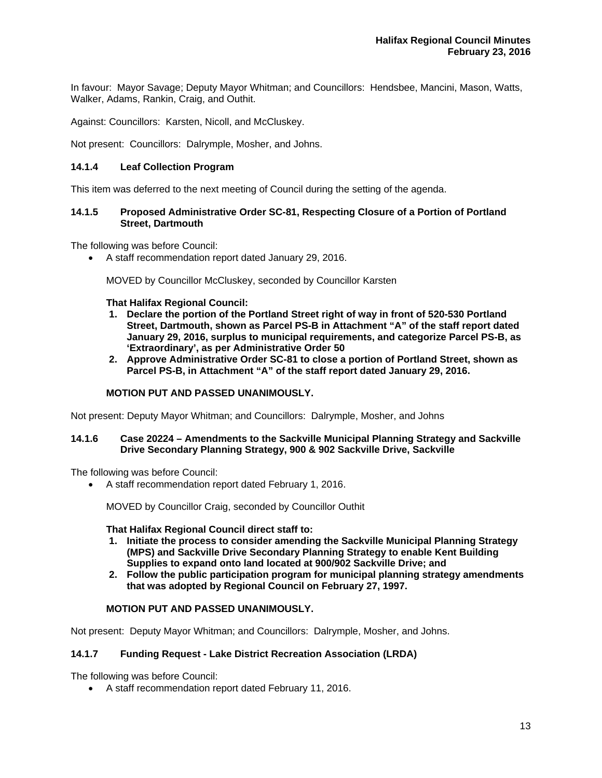In favour: Mayor Savage; Deputy Mayor Whitman; and Councillors: Hendsbee, Mancini, Mason, Watts, Walker, Adams, Rankin, Craig, and Outhit.

Against: Councillors: Karsten, Nicoll, and McCluskey.

Not present: Councillors: Dalrymple, Mosher, and Johns.

## **14.1.4 Leaf Collection Program**

This item was deferred to the next meeting of Council during the setting of the agenda.

## **14.1.5 Proposed Administrative Order SC-81, Respecting Closure of a Portion of Portland Street, Dartmouth**

The following was before Council:

A staff recommendation report dated January 29, 2016.

MOVED by Councillor McCluskey, seconded by Councillor Karsten

**That Halifax Regional Council:** 

- **1. Declare the portion of the Portland Street right of way in front of 520-530 Portland Street, Dartmouth, shown as Parcel PS-B in Attachment "A" of the staff report dated January 29, 2016, surplus to municipal requirements, and categorize Parcel PS-B, as 'Extraordinary', as per Administrative Order 50**
- **2. Approve Administrative Order SC-81 to close a portion of Portland Street, shown as Parcel PS-B, in Attachment "A" of the staff report dated January 29, 2016.**

## **MOTION PUT AND PASSED UNANIMOUSLY.**

Not present: Deputy Mayor Whitman; and Councillors: Dalrymple, Mosher, and Johns

## **14.1.6 Case 20224 – Amendments to the Sackville Municipal Planning Strategy and Sackville Drive Secondary Planning Strategy, 900 & 902 Sackville Drive, Sackville**

The following was before Council:

A staff recommendation report dated February 1, 2016.

MOVED by Councillor Craig, seconded by Councillor Outhit

**That Halifax Regional Council direct staff to:** 

- **1. Initiate the process to consider amending the Sackville Municipal Planning Strategy (MPS) and Sackville Drive Secondary Planning Strategy to enable Kent Building Supplies to expand onto land located at 900/902 Sackville Drive; and**
- **2. Follow the public participation program for municipal planning strategy amendments that was adopted by Regional Council on February 27, 1997.**

## **MOTION PUT AND PASSED UNANIMOUSLY.**

Not present: Deputy Mayor Whitman; and Councillors: Dalrymple, Mosher, and Johns.

# **14.1.7 Funding Request - Lake District Recreation Association (LRDA)**

The following was before Council:

A staff recommendation report dated February 11, 2016.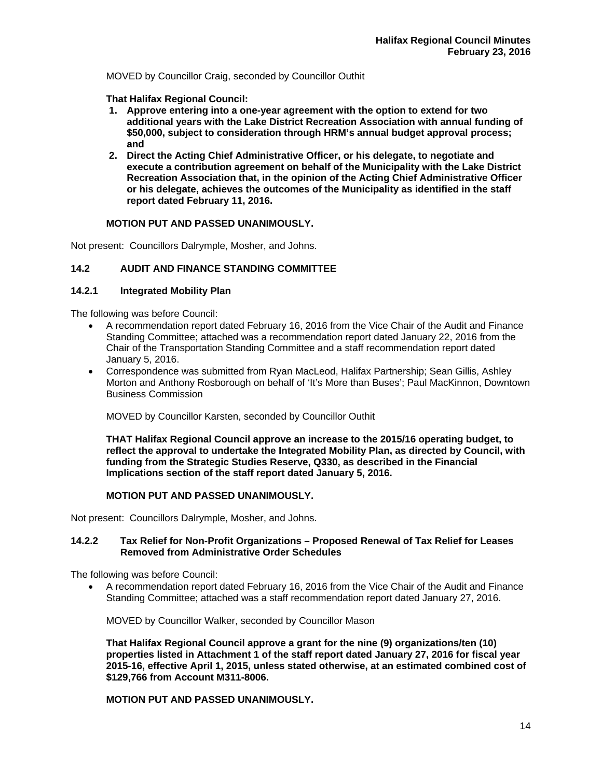MOVED by Councillor Craig, seconded by Councillor Outhit

**That Halifax Regional Council:** 

- **1. Approve entering into a one-year agreement with the option to extend for two additional years with the Lake District Recreation Association with annual funding of \$50,000, subject to consideration through HRM's annual budget approval process; and**
- **2. Direct the Acting Chief Administrative Officer, or his delegate, to negotiate and execute a contribution agreement on behalf of the Municipality with the Lake District Recreation Association that, in the opinion of the Acting Chief Administrative Officer or his delegate, achieves the outcomes of the Municipality as identified in the staff report dated February 11, 2016.**

# **MOTION PUT AND PASSED UNANIMOUSLY.**

Not present: Councillors Dalrymple, Mosher, and Johns.

# **14.2 AUDIT AND FINANCE STANDING COMMITTEE**

# **14.2.1 Integrated Mobility Plan**

The following was before Council:

- A recommendation report dated February 16, 2016 from the Vice Chair of the Audit and Finance Standing Committee; attached was a recommendation report dated January 22, 2016 from the Chair of the Transportation Standing Committee and a staff recommendation report dated January 5, 2016.
- Correspondence was submitted from Ryan MacLeod, Halifax Partnership; Sean Gillis, Ashley Morton and Anthony Rosborough on behalf of 'It's More than Buses'; Paul MacKinnon, Downtown Business Commission

MOVED by Councillor Karsten, seconded by Councillor Outhit

**THAT Halifax Regional Council approve an increase to the 2015/16 operating budget, to reflect the approval to undertake the Integrated Mobility Plan, as directed by Council, with funding from the Strategic Studies Reserve, Q330, as described in the Financial Implications section of the staff report dated January 5, 2016.** 

## **MOTION PUT AND PASSED UNANIMOUSLY.**

Not present: Councillors Dalrymple, Mosher, and Johns.

## **14.2.2 Tax Relief for Non-Profit Organizations – Proposed Renewal of Tax Relief for Leases Removed from Administrative Order Schedules**

The following was before Council:

 A recommendation report dated February 16, 2016 from the Vice Chair of the Audit and Finance Standing Committee; attached was a staff recommendation report dated January 27, 2016.

MOVED by Councillor Walker, seconded by Councillor Mason

**That Halifax Regional Council approve a grant for the nine (9) organizations/ten (10) properties listed in Attachment 1 of the staff report dated January 27, 2016 for fiscal year 2015-16, effective April 1, 2015, unless stated otherwise, at an estimated combined cost of \$129,766 from Account M311-8006.** 

**MOTION PUT AND PASSED UNANIMOUSLY.**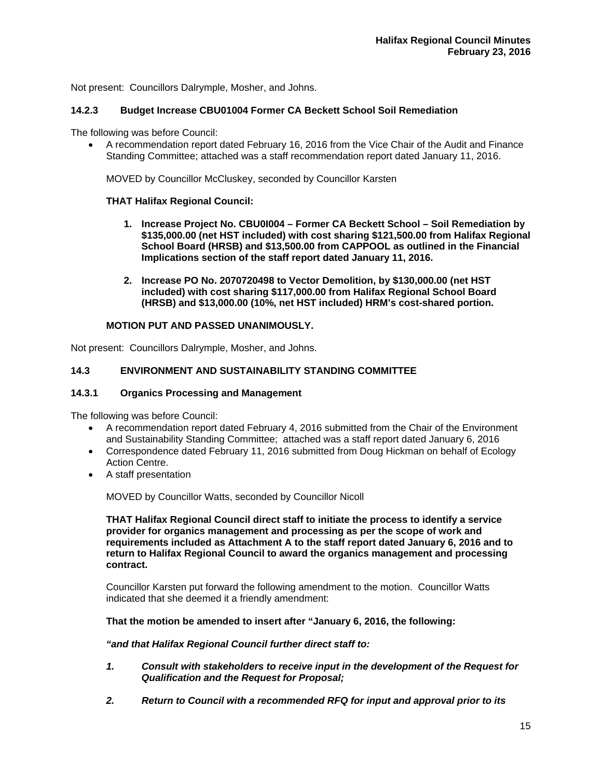Not present: Councillors Dalrymple, Mosher, and Johns.

# **14.2.3 Budget Increase CBU01004 Former CA Beckett School Soil Remediation**

The following was before Council:

 A recommendation report dated February 16, 2016 from the Vice Chair of the Audit and Finance Standing Committee; attached was a staff recommendation report dated January 11, 2016.

MOVED by Councillor McCluskey, seconded by Councillor Karsten

# **THAT Halifax Regional Council:**

- **1. Increase Project No. CBU0I004 Former CA Beckett School Soil Remediation by \$135,000.00 (net HST included) with cost sharing \$121,500.00 from Halifax Regional School Board (HRSB) and \$13,500.00 from CAPPOOL as outlined in the Financial Implications section of the staff report dated January 11, 2016.**
- **2. Increase PO No. 2070720498 to Vector Demolition, by \$130,000.00 (net HST included) with cost sharing \$117,000.00 from Halifax Regional School Board (HRSB) and \$13,000.00 (10%, net HST included) HRM's cost-shared portion.**

# **MOTION PUT AND PASSED UNANIMOUSLY.**

Not present: Councillors Dalrymple, Mosher, and Johns.

# **14.3 ENVIRONMENT AND SUSTAINABILITY STANDING COMMITTEE**

## **14.3.1 Organics Processing and Management**

The following was before Council:

- A recommendation report dated February 4, 2016 submitted from the Chair of the Environment and Sustainability Standing Committee; attached was a staff report dated January 6, 2016
- Correspondence dated February 11, 2016 submitted from Doug Hickman on behalf of Ecology Action Centre.
- A staff presentation

MOVED by Councillor Watts, seconded by Councillor Nicoll

**THAT Halifax Regional Council direct staff to initiate the process to identify a service provider for organics management and processing as per the scope of work and requirements included as Attachment A to the staff report dated January 6, 2016 and to return to Halifax Regional Council to award the organics management and processing contract.** 

 Councillor Karsten put forward the following amendment to the motion. Councillor Watts indicated that she deemed it a friendly amendment:

## **That the motion be amended to insert after "January 6, 2016, the following:**

## *"and that Halifax Regional Council further direct staff to:*

- *1. Consult with stakeholders to receive input in the development of the Request for Qualification and the Request for Proposal;*
- *2. Return to Council with a recommended RFQ for input and approval prior to its*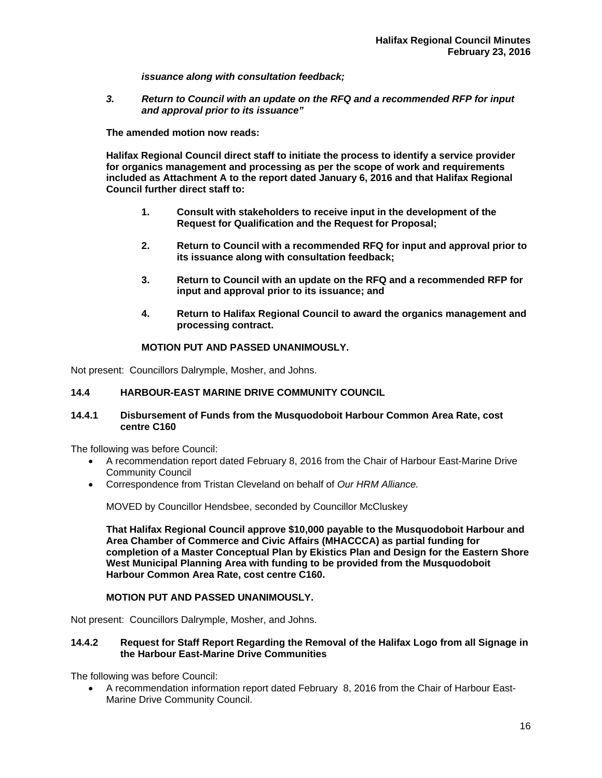*issuance along with consultation feedback;* 

*3. Return to Council with an update on the RFQ and a recommended RFP for input and approval prior to its issuance"* 

**The amended motion now reads:** 

**Halifax Regional Council direct staff to initiate the process to identify a service provider for organics management and processing as per the scope of work and requirements included as Attachment A to the report dated January 6, 2016 and that Halifax Regional Council further direct staff to:** 

- **1. Consult with stakeholders to receive input in the development of the Request for Qualification and the Request for Proposal;**
- **2. Return to Council with a recommended RFQ for input and approval prior to its issuance along with consultation feedback;**
- **3. Return to Council with an update on the RFQ and a recommended RFP for input and approval prior to its issuance; and**
- **4. Return to Halifax Regional Council to award the organics management and processing contract.**

## **MOTION PUT AND PASSED UNANIMOUSLY.**

Not present: Councillors Dalrymple, Mosher, and Johns.

## **14.4 HARBOUR-EAST MARINE DRIVE COMMUNITY COUNCIL**

## **14.4.1 Disbursement of Funds from the Musquodoboit Harbour Common Area Rate, cost centre C160**

The following was before Council:

- A recommendation report dated February 8, 2016 from the Chair of Harbour East-Marine Drive Community Council
- Correspondence from Tristan Cleveland on behalf of *Our HRM Alliance.*

MOVED by Councillor Hendsbee, seconded by Councillor McCluskey

**That Halifax Regional Council approve \$10,000 payable to the Musquodoboit Harbour and Area Chamber of Commerce and Civic Affairs (MHACCCA) as partial funding for completion of a Master Conceptual Plan by Ekistics Plan and Design for the Eastern Shore West Municipal Planning Area with funding to be provided from the Musquodoboit Harbour Common Area Rate, cost centre C160.** 

## **MOTION PUT AND PASSED UNANIMOUSLY.**

Not present: Councillors Dalrymple, Mosher, and Johns.

## **14.4.2 Request for Staff Report Regarding the Removal of the Halifax Logo from all Signage in the Harbour East-Marine Drive Communities**

The following was before Council:

 A recommendation information report dated February 8, 2016 from the Chair of Harbour East-Marine Drive Community Council.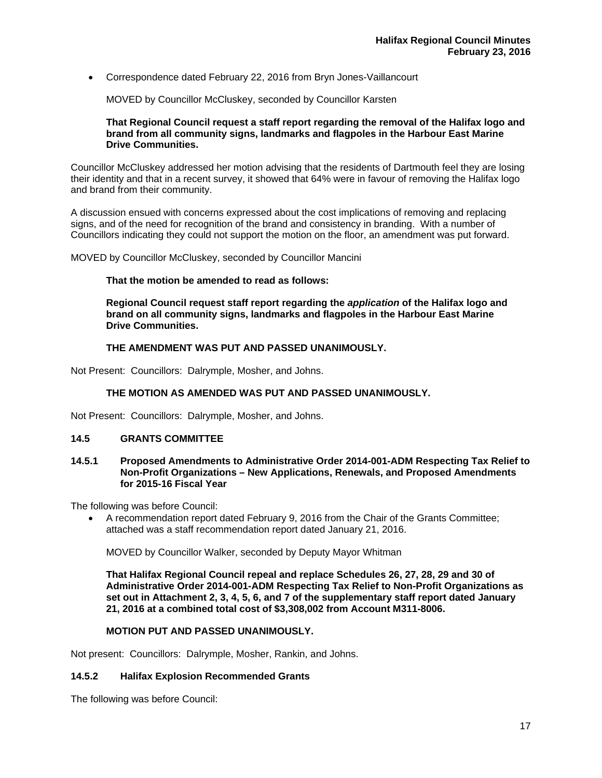Correspondence dated February 22, 2016 from Bryn Jones-Vaillancourt

MOVED by Councillor McCluskey, seconded by Councillor Karsten

## **That Regional Council request a staff report regarding the removal of the Halifax logo and brand from all community signs, landmarks and flagpoles in the Harbour East Marine Drive Communities.**

Councillor McCluskey addressed her motion advising that the residents of Dartmouth feel they are losing their identity and that in a recent survey, it showed that 64% were in favour of removing the Halifax logo and brand from their community.

A discussion ensued with concerns expressed about the cost implications of removing and replacing signs, and of the need for recognition of the brand and consistency in branding. With a number of Councillors indicating they could not support the motion on the floor, an amendment was put forward.

MOVED by Councillor McCluskey, seconded by Councillor Mancini

## **That the motion be amended to read as follows:**

 **Regional Council request staff report regarding the** *application* **of the Halifax logo and brand on all community signs, landmarks and flagpoles in the Harbour East Marine Drive Communities.** 

# **THE AMENDMENT WAS PUT AND PASSED UNANIMOUSLY.**

Not Present: Councillors: Dalrymple, Mosher, and Johns.

# **THE MOTION AS AMENDED WAS PUT AND PASSED UNANIMOUSLY.**

Not Present: Councillors: Dalrymple, Mosher, and Johns.

## **14.5 GRANTS COMMITTEE**

## **14.5.1 Proposed Amendments to Administrative Order 2014-001-ADM Respecting Tax Relief to Non-Profit Organizations – New Applications, Renewals, and Proposed Amendments for 2015-16 Fiscal Year**

The following was before Council:

 A recommendation report dated February 9, 2016 from the Chair of the Grants Committee; attached was a staff recommendation report dated January 21, 2016.

MOVED by Councillor Walker, seconded by Deputy Mayor Whitman

**That Halifax Regional Council repeal and replace Schedules 26, 27, 28, 29 and 30 of Administrative Order 2014-001-ADM Respecting Tax Relief to Non-Profit Organizations as set out in Attachment 2, 3, 4, 5, 6, and 7 of the supplementary staff report dated January 21, 2016 at a combined total cost of \$3,308,002 from Account M311-8006.** 

## **MOTION PUT AND PASSED UNANIMOUSLY.**

Not present: Councillors: Dalrymple, Mosher, Rankin, and Johns.

## **14.5.2 Halifax Explosion Recommended Grants**

The following was before Council: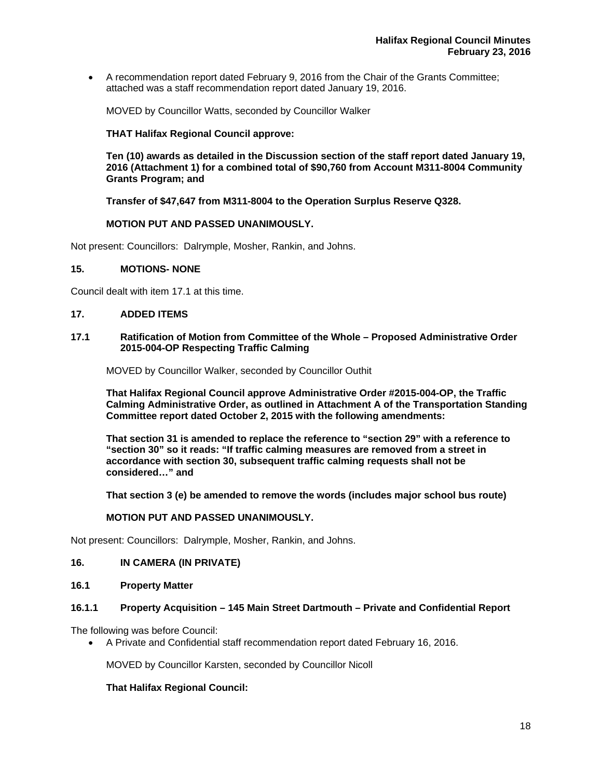A recommendation report dated February 9, 2016 from the Chair of the Grants Committee; attached was a staff recommendation report dated January 19, 2016.

MOVED by Councillor Watts, seconded by Councillor Walker

## **THAT Halifax Regional Council approve:**

 **Ten (10) awards as detailed in the Discussion section of the staff report dated January 19, 2016 (Attachment 1) for a combined total of \$90,760 from Account M311-8004 Community Grants Program; and** 

 **Transfer of \$47,647 from M311-8004 to the Operation Surplus Reserve Q328.** 

# **MOTION PUT AND PASSED UNANIMOUSLY.**

Not present: Councillors: Dalrymple, Mosher, Rankin, and Johns.

## **15. MOTIONS- NONE**

Council dealt with item 17.1 at this time.

## **17. ADDED ITEMS**

## **17.1 Ratification of Motion from Committee of the Whole – Proposed Administrative Order 2015-004-OP Respecting Traffic Calming**

MOVED by Councillor Walker, seconded by Councillor Outhit

**That Halifax Regional Council approve Administrative Order #2015-004-OP, the Traffic Calming Administrative Order, as outlined in Attachment A of the Transportation Standing Committee report dated October 2, 2015 with the following amendments:** 

**That section 31 is amended to replace the reference to "section 29" with a reference to "section 30" so it reads: "If traffic calming measures are removed from a street in accordance with section 30, subsequent traffic calming requests shall not be considered…" and** 

**That section 3 (e) be amended to remove the words (includes major school bus route)** 

## **MOTION PUT AND PASSED UNANIMOUSLY.**

Not present: Councillors: Dalrymple, Mosher, Rankin, and Johns.

## **16. IN CAMERA (IN PRIVATE)**

**16.1 Property Matter** 

## **16.1.1 Property Acquisition – 145 Main Street Dartmouth – Private and Confidential Report**

The following was before Council:

A Private and Confidential staff recommendation report dated February 16, 2016.

MOVED by Councillor Karsten, seconded by Councillor Nicoll

## **That Halifax Regional Council:**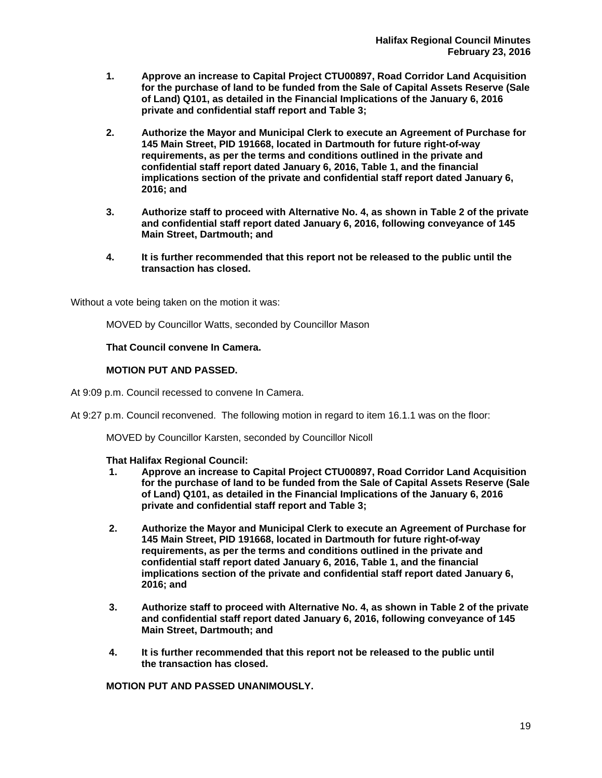- **1. Approve an increase to Capital Project CTU00897, Road Corridor Land Acquisition for the purchase of land to be funded from the Sale of Capital Assets Reserve (Sale of Land) Q101, as detailed in the Financial Implications of the January 6, 2016 private and confidential staff report and Table 3;**
- **2. Authorize the Mayor and Municipal Clerk to execute an Agreement of Purchase for 145 Main Street, PID 191668, located in Dartmouth for future right-of-way requirements, as per the terms and conditions outlined in the private and confidential staff report dated January 6, 2016, Table 1, and the financial implications section of the private and confidential staff report dated January 6, 2016; and**
- **3. Authorize staff to proceed with Alternative No. 4, as shown in Table 2 of the private and confidential staff report dated January 6, 2016, following conveyance of 145 Main Street, Dartmouth; and**
- **4. It is further recommended that this report not be released to the public until the transaction has closed.**

Without a vote being taken on the motion it was:

MOVED by Councillor Watts, seconded by Councillor Mason

## **That Council convene In Camera.**

## **MOTION PUT AND PASSED.**

At 9:09 p.m. Council recessed to convene In Camera.

At 9:27 p.m. Council reconvened. The following motion in regard to item 16.1.1 was on the floor:

MOVED by Councillor Karsten, seconded by Councillor Nicoll

## **That Halifax Regional Council:**

- **1. Approve an increase to Capital Project CTU00897, Road Corridor Land Acquisition for the purchase of land to be funded from the Sale of Capital Assets Reserve (Sale of Land) Q101, as detailed in the Financial Implications of the January 6, 2016 private and confidential staff report and Table 3;**
- **2. Authorize the Mayor and Municipal Clerk to execute an Agreement of Purchase for 145 Main Street, PID 191668, located in Dartmouth for future right-of-way requirements, as per the terms and conditions outlined in the private and confidential staff report dated January 6, 2016, Table 1, and the financial implications section of the private and confidential staff report dated January 6, 2016; and**
- **3. Authorize staff to proceed with Alternative No. 4, as shown in Table 2 of the private and confidential staff report dated January 6, 2016, following conveyance of 145 Main Street, Dartmouth; and**
- **4. It is further recommended that this report not be released to the public until the transaction has closed.**

**MOTION PUT AND PASSED UNANIMOUSLY.**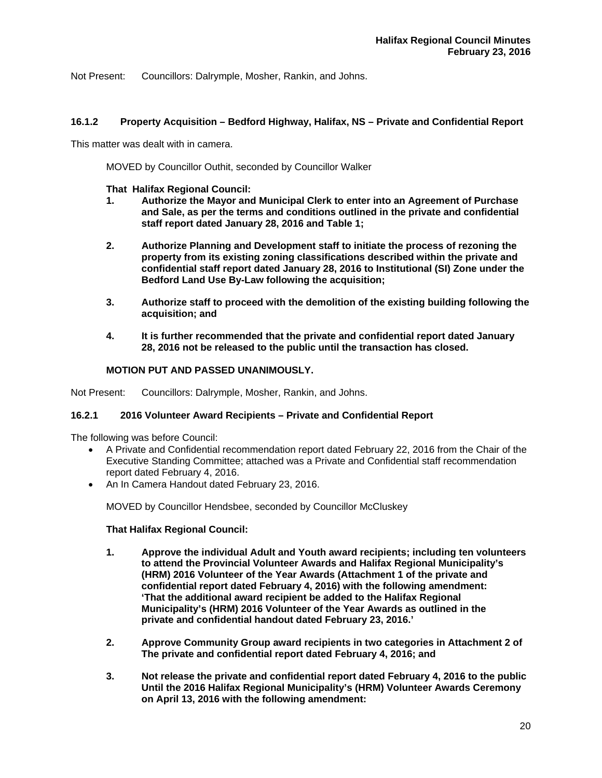Not Present: Councillors: Dalrymple, Mosher, Rankin, and Johns.

# **16.1.2 Property Acquisition – Bedford Highway, Halifax, NS – Private and Confidential Report**

This matter was dealt with in camera.

MOVED by Councillor Outhit, seconded by Councillor Walker

## **That Halifax Regional Council:**

- **1. Authorize the Mayor and Municipal Clerk to enter into an Agreement of Purchase and Sale, as per the terms and conditions outlined in the private and confidential staff report dated January 28, 2016 and Table 1;**
- **2. Authorize Planning and Development staff to initiate the process of rezoning the property from its existing zoning classifications described within the private and confidential staff report dated January 28, 2016 to Institutional (SI) Zone under the Bedford Land Use By-Law following the acquisition;**
- **3. Authorize staff to proceed with the demolition of the existing building following the acquisition; and**
- **4. It is further recommended that the private and confidential report dated January 28, 2016 not be released to the public until the transaction has closed.**

# **MOTION PUT AND PASSED UNANIMOUSLY.**

Not Present: Councillors: Dalrymple, Mosher, Rankin, and Johns.

## **16.2.1 2016 Volunteer Award Recipients – Private and Confidential Report**

The following was before Council:

- A Private and Confidential recommendation report dated February 22, 2016 from the Chair of the Executive Standing Committee; attached was a Private and Confidential staff recommendation report dated February 4, 2016.
- An In Camera Handout dated February 23, 2016.

MOVED by Councillor Hendsbee, seconded by Councillor McCluskey

## **That Halifax Regional Council:**

- **1. Approve the individual Adult and Youth award recipients; including ten volunteers to attend the Provincial Volunteer Awards and Halifax Regional Municipality's (HRM) 2016 Volunteer of the Year Awards (Attachment 1 of the private and confidential report dated February 4, 2016) with the following amendment: 'That the additional award recipient be added to the Halifax Regional Municipality's (HRM) 2016 Volunteer of the Year Awards as outlined in the private and confidential handout dated February 23, 2016.'**
- **2. Approve Community Group award recipients in two categories in Attachment 2 of The private and confidential report dated February 4, 2016; and**
- **3. Not release the private and confidential report dated February 4, 2016 to the public Until the 2016 Halifax Regional Municipality's (HRM) Volunteer Awards Ceremony on April 13, 2016 with the following amendment:**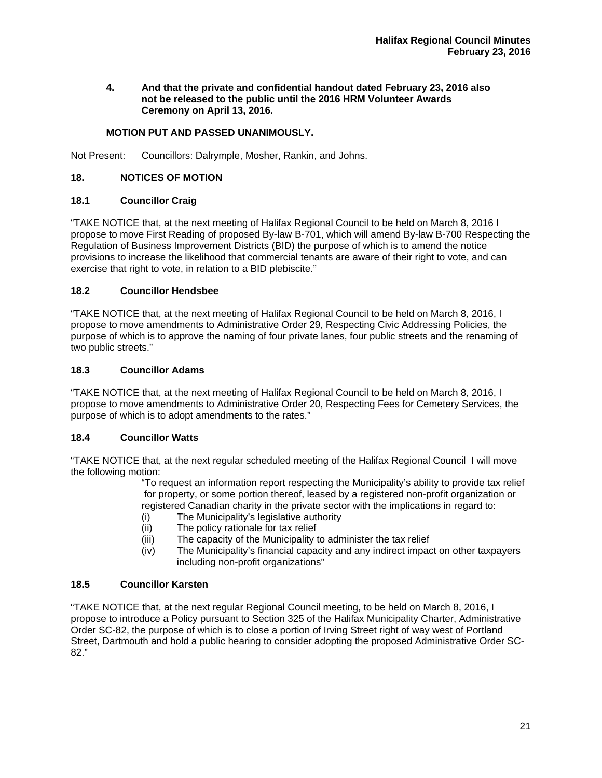## **4. And that the private and confidential handout dated February 23, 2016 also not be released to the public until the 2016 HRM Volunteer Awards Ceremony on April 13, 2016.**

# **MOTION PUT AND PASSED UNANIMOUSLY.**

Not Present: Councillors: Dalrymple, Mosher, Rankin, and Johns.

## **18. NOTICES OF MOTION**

# **18.1 Councillor Craig**

"TAKE NOTICE that, at the next meeting of Halifax Regional Council to be held on March 8, 2016 I propose to move First Reading of proposed By-law B-701, which will amend By-law B-700 Respecting the Regulation of Business Improvement Districts (BID) the purpose of which is to amend the notice provisions to increase the likelihood that commercial tenants are aware of their right to vote, and can exercise that right to vote, in relation to a BID plebiscite."

# **18.2 Councillor Hendsbee**

"TAKE NOTICE that, at the next meeting of Halifax Regional Council to be held on March 8, 2016, I propose to move amendments to Administrative Order 29, Respecting Civic Addressing Policies, the purpose of which is to approve the naming of four private lanes, four public streets and the renaming of two public streets."

# **18.3 Councillor Adams**

"TAKE NOTICE that, at the next meeting of Halifax Regional Council to be held on March 8, 2016, I propose to move amendments to Administrative Order 20, Respecting Fees for Cemetery Services, the purpose of which is to adopt amendments to the rates."

# **18.4 Councillor Watts**

"TAKE NOTICE that, at the next regular scheduled meeting of the Halifax Regional Council I will move the following motion:

 "To request an information report respecting the Municipality's ability to provide tax relief for property, or some portion thereof, leased by a registered non-profit organization or registered Canadian charity in the private sector with the implications in regard to:

- (i) The Municipality's legislative authority
- (ii) The policy rationale for tax relief
- (iii) The capacity of the Municipality to administer the tax relief
- (iv) The Municipality's financial capacity and any indirect impact on other taxpayers including non-profit organizations"

## **18.5 Councillor Karsten**

"TAKE NOTICE that, at the next regular Regional Council meeting, to be held on March 8, 2016, I propose to introduce a Policy pursuant to Section 325 of the Halifax Municipality Charter, Administrative Order SC-82, the purpose of which is to close a portion of Irving Street right of way west of Portland Street, Dartmouth and hold a public hearing to consider adopting the proposed Administrative Order SC-82."